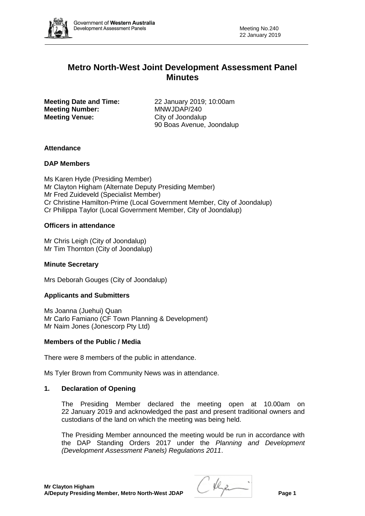

# **Metro North-West Joint Development Assessment Panel Minutes**

**Meeting Number:** MNWJDAP/240 **Meeting Venue:** City of Joondalup

**Meeting Date and Time:** 22 January 2019; 10:00am 90 Boas Avenue, Joondalup

## **Attendance**

## **DAP Members**

Ms Karen Hyde (Presiding Member) Mr Clayton Higham (Alternate Deputy Presiding Member) Mr Fred Zuideveld (Specialist Member) Cr Christine Hamilton-Prime (Local Government Member, City of Joondalup) Cr Philippa Taylor (Local Government Member, City of Joondalup)

## **Officers in attendance**

Mr Chris Leigh (City of Joondalup) Mr Tim Thornton (City of Joondalup)

#### **Minute Secretary**

Mrs Deborah Gouges (City of Joondalup)

#### **Applicants and Submitters**

Ms Joanna (Juehui) Quan Mr Carlo Famiano (CF Town Planning & Development) Mr Naim Jones (Jonescorp Pty Ltd)

#### **Members of the Public / Media**

There were 8 members of the public in attendance.

Ms Tyler Brown from Community News was in attendance.

#### **1. Declaration of Opening**

The Presiding Member declared the meeting open at 10.00am on 22 January 2019 and acknowledged the past and present traditional owners and custodians of the land on which the meeting was being held.

The Presiding Member announced the meeting would be run in accordance with the DAP Standing Orders 2017 under the *Planning and Development (Development Assessment Panels) Regulations 2011*.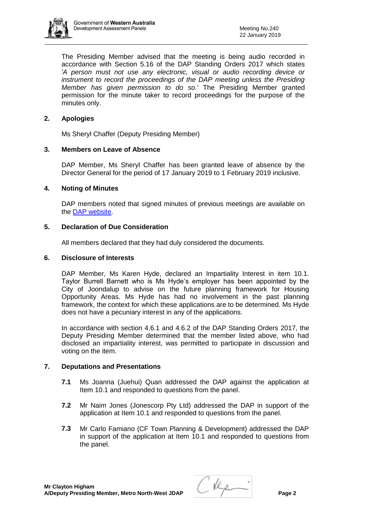

The Presiding Member advised that the meeting is being audio recorded in accordance with Section 5.16 of the DAP Standing Orders 2017 which states *'A person must not use any electronic, visual or audio recording device or instrument to record the proceedings of the DAP meeting unless the Presiding Member has given permission to do so.'* The Presiding Member granted permission for the minute taker to record proceedings for the purpose of the minutes only.

# **2. Apologies**

Ms Sheryl Chaffer (Deputy Presiding Member)

# **3. Members on Leave of Absence**

DAP Member, Ms Sheryl Chaffer has been granted leave of absence by the Director General for the period of 17 January 2019 to 1 February 2019 inclusive.

## **4. Noting of Minutes**

DAP members noted that signed minutes of previous meetings are available on the [DAP website.](https://www.dplh.wa.gov.au/about/development-assessment-panels/daps-agendas-and-minutes)

## **5. Declaration of Due Consideration**

All members declared that they had duly considered the documents.

#### **6. Disclosure of Interests**

DAP Member, Ms Karen Hyde, declared an Impartiality Interest in item 10.1. Taylor Burrell Barnett who is Ms Hyde's employer has been appointed by the City of Joondalup to advise on the future planning framework for Housing Opportunity Areas. Ms Hyde has had no involvement in the past planning framework, the context for which these applications are to be determined. Ms Hyde does not have a pecuniary interest in any of the applications.

In accordance with section 4.6.1 and 4.6.2 of the DAP Standing Orders 2017, the Deputy Presiding Member determined that the member listed above, who had disclosed an impartiality interest, was permitted to participate in discussion and voting on the item.

# **7. Deputations and Presentations**

- **7.1** Ms Joanna (Juehui) Quan addressed the DAP against the application at Item 10.1 and responded to questions from the panel.
- **7.2** Mr Naim Jones (Jonescorp Pty Ltd) addressed the DAP in support of the application at Item 10.1 and responded to questions from the panel.
- **7.3** Mr Carlo Famiano (CF Town Planning & Development) addressed the DAP in support of the application at Item 10.1 and responded to questions from the panel.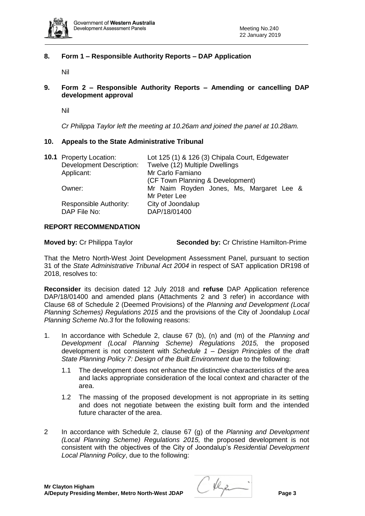

# **8. Form 1 – Responsible Authority Reports – DAP Application**

Nil

# **9. Form 2 – Responsible Authority Reports – Amending or cancelling DAP development approval**

Nil

*Cr Philippa Taylor left the meeting at 10.26am and joined the panel at 10.28am.*

## **10. Appeals to the State Administrative Tribunal**

| <b>10.1</b> Property Location:  | Lot 125 (1) & 126 (3) Chipala Court, Edgewater<br>Twelve (12) Multiple Dwellings |  |
|---------------------------------|----------------------------------------------------------------------------------|--|
| <b>Development Description:</b> |                                                                                  |  |
| Applicant:                      | Mr Carlo Famiano                                                                 |  |
|                                 | (CF Town Planning & Development)                                                 |  |
| Owner:                          | Mr Naim Royden Jones, Ms, Margaret Lee &                                         |  |
|                                 | Mr Peter Lee                                                                     |  |
| Responsible Authority:          | City of Joondalup                                                                |  |
| DAP File No:                    | DAP/18/01400                                                                     |  |
|                                 |                                                                                  |  |

## **REPORT RECOMMENDATION**

| <b>Moved by: Cr Philippa Taylor</b> | <b>Seconded by: Cr Christine Hamilton-Prime</b> |
|-------------------------------------|-------------------------------------------------|
|-------------------------------------|-------------------------------------------------|

That the Metro North-West Joint Development Assessment Panel, pursuant to section 31 of the *State Administrative Tribunal Act 2004* in respect of SAT application DR198 of 2018, resolves to:

**Reconsider** its decision dated 12 July 2018 and **refuse** DAP Application reference DAP/18/01400 and amended plans (Attachments 2 and 3 refer) in accordance with Clause 68 of Schedule 2 (Deemed Provisions) of the *Planning and Development (Local Planning Schemes) Regulations 2015* and the provisions of the City of Joondalup *Local Planning Scheme No.3* for the following reasons:

- 1. In accordance with Schedule 2, clause 67 (b), (n) and (m) of the *Planning and Development (Local Planning Scheme) Regulations 2015,* the proposed development is not consistent with *Schedule 1 – Design Principles* of the *draft State Planning Policy 7: Design of the Built Environment* due to the following:
	- 1.1 The development does not enhance the distinctive characteristics of the area and lacks appropriate consideration of the local context and character of the area.
	- 1.2 The massing of the proposed development is not appropriate in its setting and does not negotiate between the existing built form and the intended future character of the area.
- 2 In accordance with Schedule 2, clause 67 (g) of the *Planning and Development (Local Planning Scheme) Regulations 2015,* the proposed development is not consistent with the objectives of the City of Joondalup's *Residential Development Local Planning Policy*, due to the following: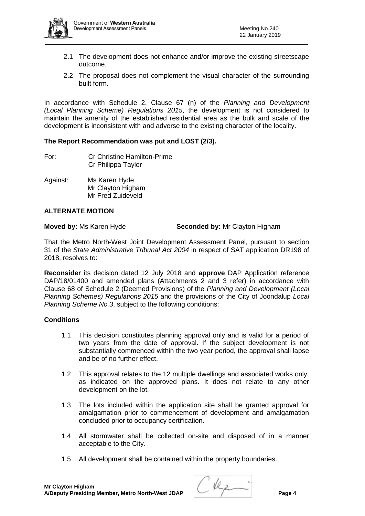

- 2.1 The development does not enhance and/or improve the existing streetscape outcome.
- 2.2 The proposal does not complement the visual character of the surrounding built form.

In accordance with Schedule 2, Clause 67 (n) of the *Planning and Development (Local Planning Scheme) Regulations 2015*, the development is not considered to maintain the amenity of the established residential area as the bulk and scale of the development is inconsistent with and adverse to the existing character of the locality.

# **The Report Recommendation was put and LOST (2/3).**

- For: Cr Christine Hamilton-Prime Cr Philippa Taylor
- Against: Ms Karen Hyde Mr Clayton Higham Mr Fred Zuideveld

# **ALTERNATE MOTION**

**Moved by:** Ms Karen Hyde **Seconded by:** Mr Clayton Higham

That the Metro North-West Joint Development Assessment Panel, pursuant to section 31 of the *State Administrative Tribunal Act 2004* in respect of SAT application DR198 of 2018, resolves to:

**Reconsider** its decision dated 12 July 2018 and **approve** DAP Application reference DAP/18/01400 and amended plans (Attachments 2 and 3 refer) in accordance with Clause 68 of Schedule 2 (Deemed Provisions) of the *Planning and Development (Local Planning Schemes) Regulations 2015* and the provisions of the City of Joondalup *Local Planning Scheme No.3*, subject to the following conditions:

## **Conditions**

- 1.1 This decision constitutes planning approval only and is valid for a period of two years from the date of approval. If the subject development is not substantially commenced within the two year period, the approval shall lapse and be of no further effect.
- 1.2 This approval relates to the 12 multiple dwellings and associated works only, as indicated on the approved plans. It does not relate to any other development on the lot.
- 1.3 The lots included within the application site shall be granted approval for amalgamation prior to commencement of development and amalgamation concluded prior to occupancy certification.
- 1.4 All stormwater shall be collected on-site and disposed of in a manner acceptable to the City.
- 1.5 All development shall be contained within the property boundaries.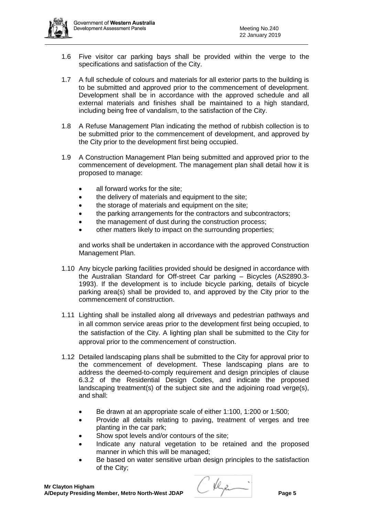

- 1.6 Five visitor car parking bays shall be provided within the verge to the specifications and satisfaction of the City.
- 1.7 A full schedule of colours and materials for all exterior parts to the building is to be submitted and approved prior to the commencement of development. Development shall be in accordance with the approved schedule and all external materials and finishes shall be maintained to a high standard, including being free of vandalism, to the satisfaction of the City.
- 1.8 A Refuse Management Plan indicating the method of rubbish collection is to be submitted prior to the commencement of development, and approved by the City prior to the development first being occupied.
- 1.9 A Construction Management Plan being submitted and approved prior to the commencement of development. The management plan shall detail how it is proposed to manage:
	- all forward works for the site;
	- the delivery of materials and equipment to the site;
	- the storage of materials and equipment on the site;
	- the parking arrangements for the contractors and subcontractors;
	- the management of dust during the construction process;
	- other matters likely to impact on the surrounding properties;

and works shall be undertaken in accordance with the approved Construction Management Plan.

- 1.10 Any bicycle parking facilities provided should be designed in accordance with the Australian Standard for Off-street Car parking – Bicycles (AS2890.3- 1993). If the development is to include bicycle parking, details of bicycle parking area(s) shall be provided to, and approved by the City prior to the commencement of construction.
- 1.11 Lighting shall be installed along all driveways and pedestrian pathways and in all common service areas prior to the development first being occupied, to the satisfaction of the City. A lighting plan shall be submitted to the City for approval prior to the commencement of construction.
- 1.12 Detailed landscaping plans shall be submitted to the City for approval prior to the commencement of development. These landscaping plans are to address the deemed-to-comply requirement and design principles of clause 6.3.2 of the Residential Design Codes, and indicate the proposed landscaping treatment(s) of the subject site and the adjoining road verge(s). and shall:
	- Be drawn at an appropriate scale of either 1:100, 1:200 or 1:500;
	- Provide all details relating to paving, treatment of verges and tree planting in the car park;
	- Show spot levels and/or contours of the site;
	- Indicate any natural vegetation to be retained and the proposed manner in which this will be managed;
	- Be based on water sensitive urban design principles to the satisfaction of the City;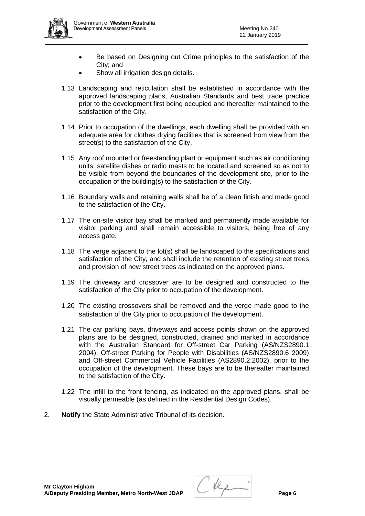

- Be based on Designing out Crime principles to the satisfaction of the City; and
- Show all irrigation design details.
- 1.13 Landscaping and reticulation shall be established in accordance with the approved landscaping plans, Australian Standards and best trade practice prior to the development first being occupied and thereafter maintained to the satisfaction of the City.
- 1.14 Prior to occupation of the dwellings, each dwelling shall be provided with an adequate area for clothes drying facilities that is screened from view from the street(s) to the satisfaction of the City.
- 1.15 Any roof mounted or freestanding plant or equipment such as air conditioning units, satellite dishes or radio masts to be located and screened so as not to be visible from beyond the boundaries of the development site, prior to the occupation of the building(s) to the satisfaction of the City.
- 1.16 Boundary walls and retaining walls shall be of a clean finish and made good to the satisfaction of the City.
- 1.17 The on-site visitor bay shall be marked and permanently made available for visitor parking and shall remain accessible to visitors, being free of any access gate.
- 1.18 The verge adjacent to the lot(s) shall be landscaped to the specifications and satisfaction of the City, and shall include the retention of existing street trees and provision of new street trees as indicated on the approved plans.
- 1.19 The driveway and crossover are to be designed and constructed to the satisfaction of the City prior to occupation of the development.
- 1.20 The existing crossovers shall be removed and the verge made good to the satisfaction of the City prior to occupation of the development.
- 1.21 The car parking bays, driveways and access points shown on the approved plans are to be designed, constructed, drained and marked in accordance with the Australian Standard for Off-street Car Parking (AS/NZS2890.1 2004), Off-street Parking for People with Disabilities (AS/NZS2890.6 2009) and Off-street Commercial Vehicle Facilities (AS2890.2:2002), prior to the occupation of the development. These bays are to be thereafter maintained to the satisfaction of the City.
- 1.22 The infill to the front fencing, as indicated on the approved plans, shall be visually permeable (as defined in the Residential Design Codes).
- 2. **Notify** the State Administrative Tribunal of its decision.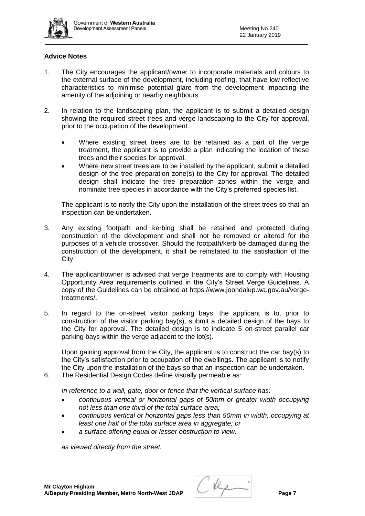

## **Advice Notes**

- 1. The City encourages the applicant/owner to incorporate materials and colours to the external surface of the development, including roofing, that have low reflective characteristics to minimise potential glare from the development impacting the amenity of the adjoining or nearby neighbours.
- 2. In relation to the landscaping plan, the applicant is to submit a detailed design showing the required street trees and verge landscaping to the City for approval, prior to the occupation of the development.
	- Where existing street trees are to be retained as a part of the verge treatment, the applicant is to provide a plan indicating the location of these trees and their species for approval.
	- Where new street trees are to be installed by the applicant, submit a detailed design of the tree preparation zone(s) to the City for approval. The detailed design shall indicate the tree preparation zones within the verge and nominate tree species in accordance with the City's preferred species list.

The applicant is to notify the City upon the installation of the street trees so that an inspection can be undertaken.

- 3. Any existing footpath and kerbing shall be retained and protected during construction of the development and shall not be removed or altered for the purposes of a vehicle crossover. Should the footpath/kerb be damaged during the construction of the development, it shall be reinstated to the satisfaction of the City.
- 4. The applicant/owner is advised that verge treatments are to comply with Housing Opportunity Area requirements outlined in the City's Street Verge Guidelines. A copy of the Guidelines can be obtained at https://www.joondalup.wa.gov.au/vergetreatments/.
- 5. In regard to the on-street visitor parking bays, the applicant is to, prior to construction of the visitor parking bay(s), submit a detailed design of the bays to the City for approval. The detailed design is to indicate 5 on-street parallel car parking bays within the verge adjacent to the lot(s).

Upon gaining approval from the City, the applicant is to construct the car bay(s) to the City's satisfaction prior to occupation of the dwellings. The applicant is to notify the City upon the installation of the bays so that an inspection can be undertaken.

6. The Residential Design Codes define visually permeable as:

*In reference to a wall, gate, door or fence that the vertical surface has:*

- *continuous vertical or horizontal gaps of 50mm or greater width occupying not less than one third of the total surface area;*
- *continuous vertical or horizontal gaps less than 50mm in width, occupying at least one half of the total surface area in aggregate; or*
- *a surface offering equal or lesser obstruction to view.*

*as viewed directly from the street.*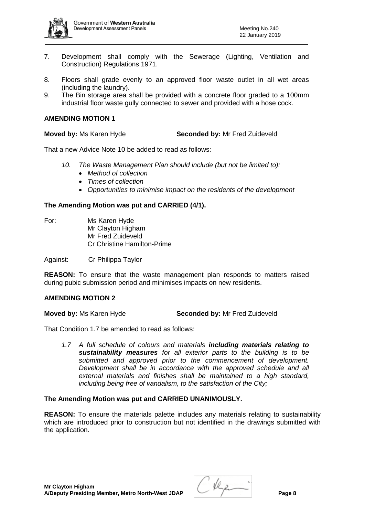

- 7. Development shall comply with the Sewerage (Lighting, Ventilation and Construction) Regulations 1971.
- 8. Floors shall grade evenly to an approved floor waste outlet in all wet areas (including the laundry).
- 9. The Bin storage area shall be provided with a concrete floor graded to a 100mm industrial floor waste gully connected to sewer and provided with a hose cock.

## **AMENDING MOTION 1**

**Moved by:** Ms Karen Hyde **Seconded by:** Mr Fred Zuideveld

That a new Advice Note 10 be added to read as follows:

- *10. The Waste Management Plan should include (but not be limited to):*
	- *Method of collection*
	- *Times of collection*
	- *Opportunities to minimise impact on the residents of the development*

## **The Amending Motion was put and CARRIED (4/1).**

For: Ms Karen Hyde Mr Clayton Higham Mr Fred Zuideveld Cr Christine Hamilton-Prime

Against: Cr Philippa Taylor

**REASON:** To ensure that the waste management plan responds to matters raised during pubic submission period and minimises impacts on new residents.

#### **AMENDING MOTION 2**

**Moved by:** Ms Karen Hyde **Seconded by:** Mr Fred Zuideveld

That Condition 1.7 be amended to read as follows:

*1.7 A full schedule of colours and materials including materials relating to sustainability measures for all exterior parts to the building is to be submitted and approved prior to the commencement of development. Development shall be in accordance with the approved schedule and all external materials and finishes shall be maintained to a high standard, including being free of vandalism, to the satisfaction of the City;*

#### **The Amending Motion was put and CARRIED UNANIMOUSLY.**

**REASON:** To ensure the materials palette includes any materials relating to sustainability which are introduced prior to construction but not identified in the drawings submitted with the application.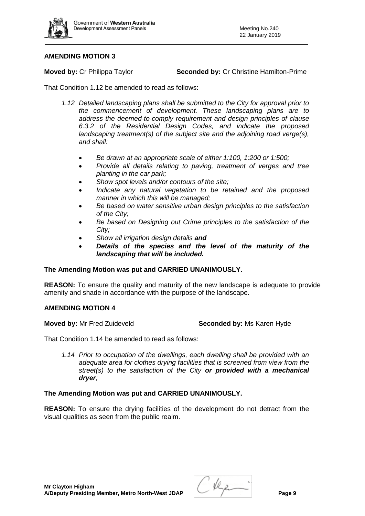

# **AMENDING MOTION 3**

**Moved by:** Cr Philippa Taylor **Seconded by:** Cr Christine Hamilton-Prime

That Condition 1.12 be amended to read as follows:

- *1.12 Detailed landscaping plans shall be submitted to the City for approval prior to the commencement of development. These landscaping plans are to address the deemed-to-comply requirement and design principles of clause 6.3.2 of the Residential Design Codes, and indicate the proposed landscaping treatment(s) of the subject site and the adjoining road verge(s), and shall:*
	- *Be drawn at an appropriate scale of either 1:100, 1:200 or 1:500;*
	- *Provide all details relating to paving, treatment of verges and tree planting in the car park;*
	- *Show spot levels and/or contours of the site;*
	- *Indicate any natural vegetation to be retained and the proposed manner in which this will be managed;*
	- *Be based on water sensitive urban design principles to the satisfaction of the City;*
	- *Be based on Designing out Crime principles to the satisfaction of the City;*
	- *Show all irrigation design details and*
	- *Details of the species and the level of the maturity of the landscaping that will be included.*

# **The Amending Motion was put and CARRIED UNANIMOUSLY.**

**REASON:** To ensure the quality and maturity of the new landscape is adequate to provide amenity and shade in accordance with the purpose of the landscape.

# **AMENDING MOTION 4**

**Moved by:** Mr Fred Zuideveld **Seconded by:** Ms Karen Hyde

That Condition 1.14 be amended to read as follows:

*1.14 Prior to occupation of the dwellings, each dwelling shall be provided with an adequate area for clothes drying facilities that is screened from view from the street(s) to the satisfaction of the City or provided with a mechanical dryer;*

# **The Amending Motion was put and CARRIED UNANIMOUSLY.**

**REASON:** To ensure the drying facilities of the development do not detract from the visual qualities as seen from the public realm.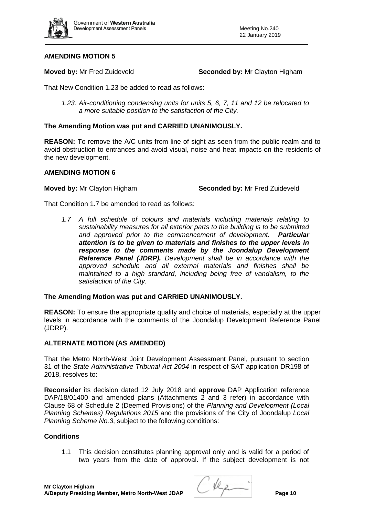

# **AMENDING MOTION 5**

**Moved by:** Mr Fred Zuideveld **Seconded by:** Mr Clayton Higham

That New Condition 1.23 be added to read as follows:

*1.23. Air-conditioning condensing units for units 5, 6, 7, 11 and 12 be relocated to a more suitable position to the satisfaction of the City.*

# **The Amending Motion was put and CARRIED UNANIMOUSLY.**

**REASON:** To remove the A/C units from line of sight as seen from the public realm and to avoid obstruction to entrances and avoid visual, noise and heat impacts on the residents of the new development.

# **AMENDING MOTION 6**

**Moved by:** Mr Clayton Higham **Seconded by:** Mr Fred Zuideveld

That Condition 1.7 be amended to read as follows:

*1.7 A full schedule of colours and materials including materials relating to sustainability measures for all exterior parts to the building is to be submitted*  and approved prior to the commencement of development. *attention is to be given to materials and finishes to the upper levels in response to the comments made by the Joondalup Development Reference Panel (JDRP). Development shall be in accordance with the approved schedule and all external materials and finishes shall be maintained to a high standard, including being free of vandalism, to the satisfaction of the City.*

# **The Amending Motion was put and CARRIED UNANIMOUSLY.**

**REASON:** To ensure the appropriate quality and choice of materials, especially at the upper levels in accordance with the comments of the Joondalup Development Reference Panel (JDRP).

# **ALTERNATE MOTION (AS AMENDED)**

That the Metro North-West Joint Development Assessment Panel, pursuant to section 31 of the *State Administrative Tribunal Act 2004* in respect of SAT application DR198 of 2018, resolves to:

**Reconsider** its decision dated 12 July 2018 and **approve** DAP Application reference DAP/18/01400 and amended plans (Attachments 2 and 3 refer) in accordance with Clause 68 of Schedule 2 (Deemed Provisions) of the *Planning and Development (Local Planning Schemes) Regulations 2015* and the provisions of the City of Joondalup *Local Planning Scheme No.3*, subject to the following conditions:

# **Conditions**

1.1 This decision constitutes planning approval only and is valid for a period of two years from the date of approval. If the subject development is not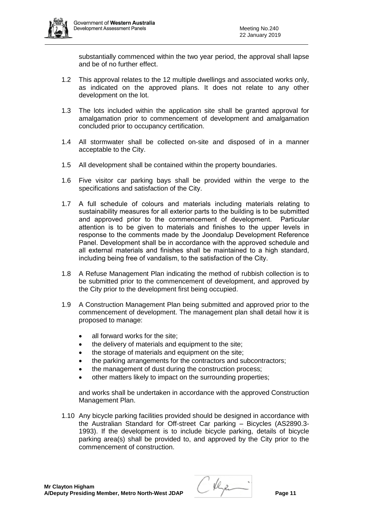

substantially commenced within the two year period, the approval shall lapse and be of no further effect.

- 1.2 This approval relates to the 12 multiple dwellings and associated works only, as indicated on the approved plans. It does not relate to any other development on the lot.
- 1.3 The lots included within the application site shall be granted approval for amalgamation prior to commencement of development and amalgamation concluded prior to occupancy certification.
- 1.4 All stormwater shall be collected on-site and disposed of in a manner acceptable to the City.
- 1.5 All development shall be contained within the property boundaries.
- 1.6 Five visitor car parking bays shall be provided within the verge to the specifications and satisfaction of the City.
- 1.7 A full schedule of colours and materials including materials relating to sustainability measures for all exterior parts to the building is to be submitted and approved prior to the commencement of development. Particular attention is to be given to materials and finishes to the upper levels in response to the comments made by the Joondalup Development Reference Panel. Development shall be in accordance with the approved schedule and all external materials and finishes shall be maintained to a high standard, including being free of vandalism, to the satisfaction of the City.
- 1.8 A Refuse Management Plan indicating the method of rubbish collection is to be submitted prior to the commencement of development, and approved by the City prior to the development first being occupied.
- 1.9 A Construction Management Plan being submitted and approved prior to the commencement of development. The management plan shall detail how it is proposed to manage:
	- all forward works for the site;
	- the delivery of materials and equipment to the site;
	- the storage of materials and equipment on the site;
	- the parking arrangements for the contractors and subcontractors;
	- the management of dust during the construction process;
	- other matters likely to impact on the surrounding properties;

and works shall be undertaken in accordance with the approved Construction Management Plan.

1.10 Any bicycle parking facilities provided should be designed in accordance with the Australian Standard for Off-street Car parking – Bicycles (AS2890.3- 1993). If the development is to include bicycle parking, details of bicycle parking area(s) shall be provided to, and approved by the City prior to the commencement of construction.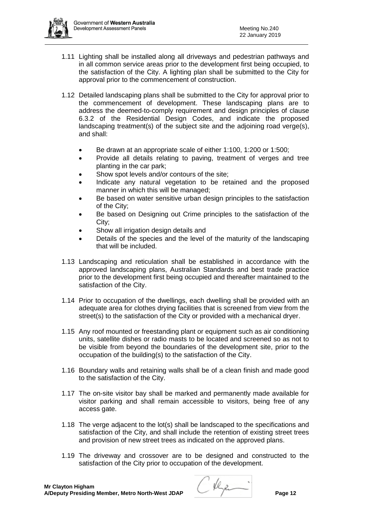

- 1.11 Lighting shall be installed along all driveways and pedestrian pathways and in all common service areas prior to the development first being occupied, to the satisfaction of the City. A lighting plan shall be submitted to the City for approval prior to the commencement of construction.
- 1.12 Detailed landscaping plans shall be submitted to the City for approval prior to the commencement of development. These landscaping plans are to address the deemed-to-comply requirement and design principles of clause 6.3.2 of the Residential Design Codes, and indicate the proposed landscaping treatment(s) of the subject site and the adjoining road verge(s), and shall:
	- Be drawn at an appropriate scale of either 1:100, 1:200 or 1:500;
	- Provide all details relating to paving, treatment of verges and tree planting in the car park;
	- Show spot levels and/or contours of the site;
	- Indicate any natural vegetation to be retained and the proposed manner in which this will be managed;
	- Be based on water sensitive urban design principles to the satisfaction of the City;
	- Be based on Designing out Crime principles to the satisfaction of the City;
	- Show all irrigation design details and
	- Details of the species and the level of the maturity of the landscaping that will be included.
- 1.13 Landscaping and reticulation shall be established in accordance with the approved landscaping plans, Australian Standards and best trade practice prior to the development first being occupied and thereafter maintained to the satisfaction of the City.
- 1.14 Prior to occupation of the dwellings, each dwelling shall be provided with an adequate area for clothes drying facilities that is screened from view from the street(s) to the satisfaction of the City or provided with a mechanical dryer.
- 1.15 Any roof mounted or freestanding plant or equipment such as air conditioning units, satellite dishes or radio masts to be located and screened so as not to be visible from beyond the boundaries of the development site, prior to the occupation of the building(s) to the satisfaction of the City.
- 1.16 Boundary walls and retaining walls shall be of a clean finish and made good to the satisfaction of the City.
- 1.17 The on-site visitor bay shall be marked and permanently made available for visitor parking and shall remain accessible to visitors, being free of any access gate.
- 1.18 The verge adjacent to the lot(s) shall be landscaped to the specifications and satisfaction of the City, and shall include the retention of existing street trees and provision of new street trees as indicated on the approved plans.
- 1.19 The driveway and crossover are to be designed and constructed to the satisfaction of the City prior to occupation of the development.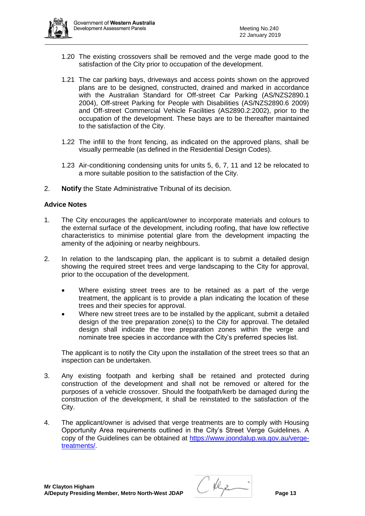

- 1.20 The existing crossovers shall be removed and the verge made good to the satisfaction of the City prior to occupation of the development.
- 1.21 The car parking bays, driveways and access points shown on the approved plans are to be designed, constructed, drained and marked in accordance with the Australian Standard for Off-street Car Parking (AS/NZS2890.1 2004), Off-street Parking for People with Disabilities (AS/NZS2890.6 2009) and Off-street Commercial Vehicle Facilities (AS2890.2:2002), prior to the occupation of the development. These bays are to be thereafter maintained to the satisfaction of the City.
- 1.22 The infill to the front fencing, as indicated on the approved plans, shall be visually permeable (as defined in the Residential Design Codes).
- 1.23 Air-conditioning condensing units for units 5, 6, 7, 11 and 12 be relocated to a more suitable position to the satisfaction of the City.
- 2. **Notify** the State Administrative Tribunal of its decision.

# **Advice Notes**

- 1. The City encourages the applicant/owner to incorporate materials and colours to the external surface of the development, including roofing, that have low reflective characteristics to minimise potential glare from the development impacting the amenity of the adjoining or nearby neighbours.
- 2. In relation to the landscaping plan, the applicant is to submit a detailed design showing the required street trees and verge landscaping to the City for approval, prior to the occupation of the development.
	- Where existing street trees are to be retained as a part of the verge treatment, the applicant is to provide a plan indicating the location of these trees and their species for approval.
	- Where new street trees are to be installed by the applicant, submit a detailed design of the tree preparation zone(s) to the City for approval. The detailed design shall indicate the tree preparation zones within the verge and nominate tree species in accordance with the City's preferred species list.

The applicant is to notify the City upon the installation of the street trees so that an inspection can be undertaken.

- 3. Any existing footpath and kerbing shall be retained and protected during construction of the development and shall not be removed or altered for the purposes of a vehicle crossover. Should the footpath/kerb be damaged during the construction of the development, it shall be reinstated to the satisfaction of the City.
- 4. The applicant/owner is advised that verge treatments are to comply with Housing Opportunity Area requirements outlined in the City's Street Verge Guidelines. A copy of the Guidelines can be obtained at [https://www.joondalup.wa.gov.au/verge](https://www.joondalup.wa.gov.au/verge-treatments/)[treatments/.](https://www.joondalup.wa.gov.au/verge-treatments/)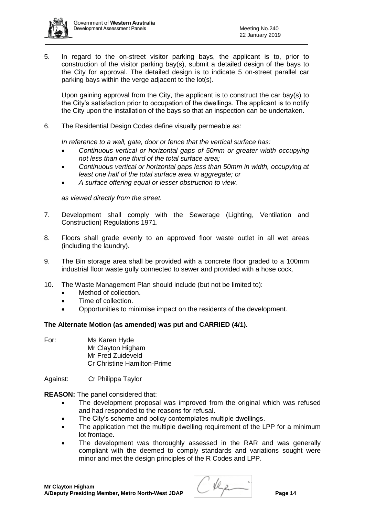5. In regard to the on-street visitor parking bays, the applicant is to, prior to construction of the visitor parking bay(s), submit a detailed design of the bays to the City for approval. The detailed design is to indicate 5 on-street parallel car parking bays within the verge adjacent to the lot(s).

Upon gaining approval from the City, the applicant is to construct the car bay(s) to the City's satisfaction prior to occupation of the dwellings. The applicant is to notify the City upon the installation of the bays so that an inspection can be undertaken.

6. The Residential Design Codes define visually permeable as:

*In reference to a wall, gate, door or fence that the vertical surface has:*

- *Continuous vertical or horizontal gaps of 50mm or greater width occupying not less than one third of the total surface area;*
- *Continuous vertical or horizontal gaps less than 50mm in width, occupying at least one half of the total surface area in aggregate; or*
- *A surface offering equal or lesser obstruction to view.*

*as viewed directly from the street.*

- 7. Development shall comply with the Sewerage (Lighting, Ventilation and Construction) Regulations 1971.
- 8. Floors shall grade evenly to an approved floor waste outlet in all wet areas (including the laundry).
- 9. The Bin storage area shall be provided with a concrete floor graded to a 100mm industrial floor waste gully connected to sewer and provided with a hose cock.
- 10. The Waste Management Plan should include (but not be limited to):
	- Method of collection.
	- Time of collection.
	- Opportunities to minimise impact on the residents of the development.

# **The Alternate Motion (as amended) was put and CARRIED (4/1).**

For: Ms Karen Hyde Mr Clayton Higham Mr Fred Zuideveld Cr Christine Hamilton-Prime

Against: Cr Philippa Taylor

**REASON:** The panel considered that:

- The development proposal was improved from the original which was refused and had responded to the reasons for refusal.
- The City's scheme and policy contemplates multiple dwellings.
- The application met the multiple dwelling requirement of the LPP for a minimum lot frontage.
- The development was thoroughly assessed in the RAR and was generally compliant with the deemed to comply standards and variations sought were minor and met the design principles of the R Codes and LPP.